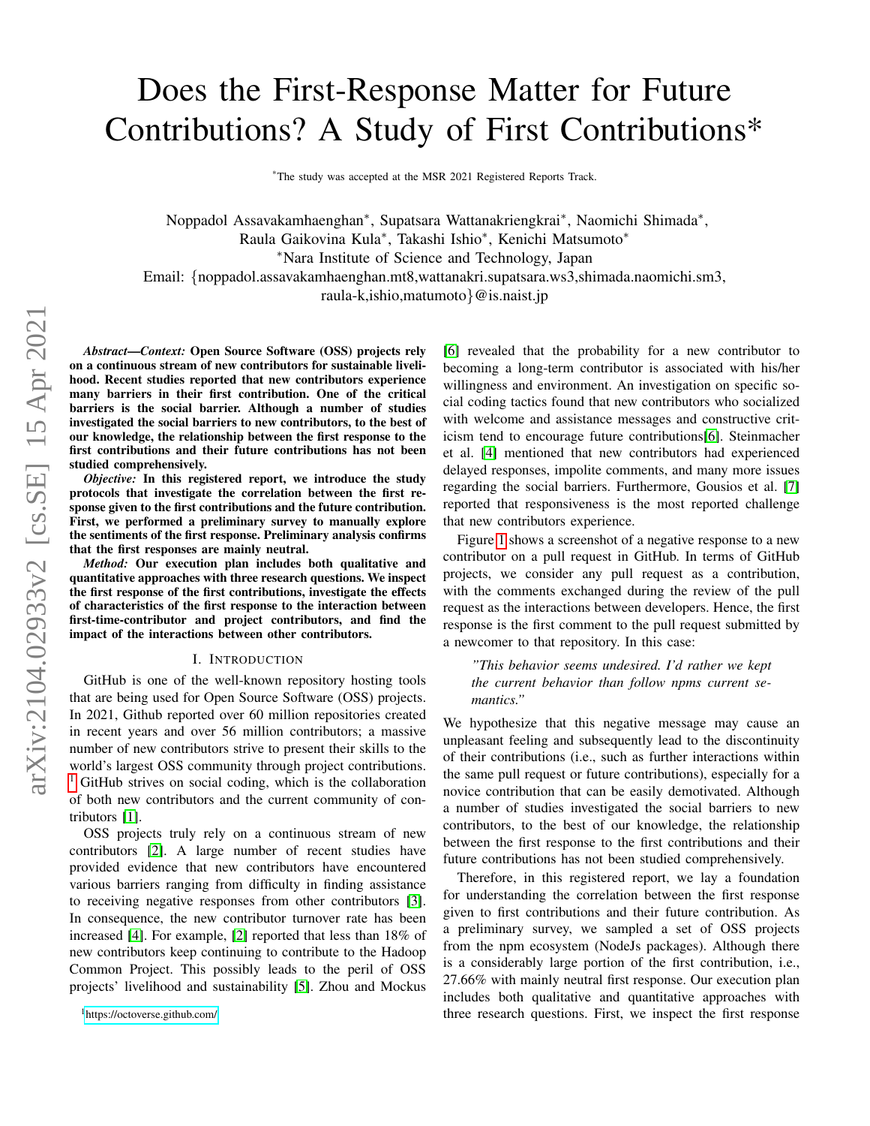# Does the First-Response Matter for Future Contributions? A Study of First Contributions\*

\*The study was accepted at the MSR 2021 Registered Reports Track.

Noppadol Assavakamhaenghan<sup>∗</sup> , Supatsara Wattanakriengkrai<sup>∗</sup> , Naomichi Shimada<sup>∗</sup> , Raula Gaikovina Kula<sup>∗</sup> , Takashi Ishio<sup>∗</sup> , Kenichi Matsumoto<sup>∗</sup> <sup>∗</sup>Nara Institute of Science and Technology, Japan Email: {noppadol.assavakamhaenghan.mt8,wattanakri.supatsara.ws3,shimada.naomichi.sm3, raula-k,ishio,matumoto}@is.naist.jp

*Abstract*—*Context:* Open Source Software (OSS) projects rely on a continuous stream of new contributors for sustainable livelihood. Recent studies reported that new contributors experience many barriers in their first contribution. One of the critical barriers is the social barrier. Although a number of studies investigated the social barriers to new contributors, to the best of our knowledge, the relationship between the first response to the first contributions and their future contributions has not been studied comprehensively.

*Objective:* In this registered report, we introduce the study protocols that investigate the correlation between the first response given to the first contributions and the future contribution. First, we performed a preliminary survey to manually explore the sentiments of the first response. Preliminary analysis confirms that the first responses are mainly neutral.

*Method:* Our execution plan includes both qualitative and quantitative approaches with three research questions. We inspect the first response of the first contributions, investigate the effects of characteristics of the first response to the interaction between first-time-contributor and project contributors, and find the impact of the interactions between other contributors.

#### I. INTRODUCTION

GitHub is one of the well-known repository hosting tools that are being used for Open Source Software (OSS) projects. In 2021, Github reported over 60 million repositories created in recent years and over 56 million contributors; a massive number of new contributors strive to present their skills to the world's largest OSS community through project contributions. <sup>[1](#page-0-0)</sup> GitHub strives on social coding, which is the collaboration of both new contributors and the current community of contributors [\[1\]](#page-5-0).

OSS projects truly rely on a continuous stream of new contributors [\[2\]](#page-5-1). A large number of recent studies have provided evidence that new contributors have encountered various barriers ranging from difficulty in finding assistance to receiving negative responses from other contributors [\[3\]](#page-5-2). In consequence, the new contributor turnover rate has been increased [\[4\]](#page-5-3). For example, [\[2\]](#page-5-1) reported that less than 18% of new contributors keep continuing to contribute to the Hadoop Common Project. This possibly leads to the peril of OSS projects' livelihood and sustainability [\[5\]](#page-5-4). Zhou and Mockus [\[6\]](#page-5-5) revealed that the probability for a new contributor to becoming a long-term contributor is associated with his/her willingness and environment. An investigation on specific social coding tactics found that new contributors who socialized with welcome and assistance messages and constructive criticism tend to encourage future contributions[\[6\]](#page-5-5). Steinmacher et al. [\[4\]](#page-5-3) mentioned that new contributors had experienced delayed responses, impolite comments, and many more issues regarding the social barriers. Furthermore, Gousios et al. [\[7\]](#page-5-6) reported that responsiveness is the most reported challenge that new contributors experience.

Figure [1](#page-1-0) shows a screenshot of a negative response to a new contributor on a pull request in GitHub. In terms of GitHub projects, we consider any pull request as a contribution, with the comments exchanged during the review of the pull request as the interactions between developers. Hence, the first response is the first comment to the pull request submitted by a newcomer to that repository. In this case:

*"This behavior seems undesired. I'd rather we kept the current behavior than follow npms current semantics."*

We hypothesize that this negative message may cause an unpleasant feeling and subsequently lead to the discontinuity of their contributions (i.e., such as further interactions within the same pull request or future contributions), especially for a novice contribution that can be easily demotivated. Although a number of studies investigated the social barriers to new contributors, to the best of our knowledge, the relationship between the first response to the first contributions and their future contributions has not been studied comprehensively.

Therefore, in this registered report, we lay a foundation for understanding the correlation between the first response given to first contributions and their future contribution. As a preliminary survey, we sampled a set of OSS projects from the npm ecosystem (NodeJs packages). Although there is a considerably large portion of the first contribution, i.e., 27.66% with mainly neutral first response. Our execution plan includes both qualitative and quantitative approaches with three research questions. First, we inspect the first response

<span id="page-0-0"></span><sup>1</sup><https://octoverse.github.com/>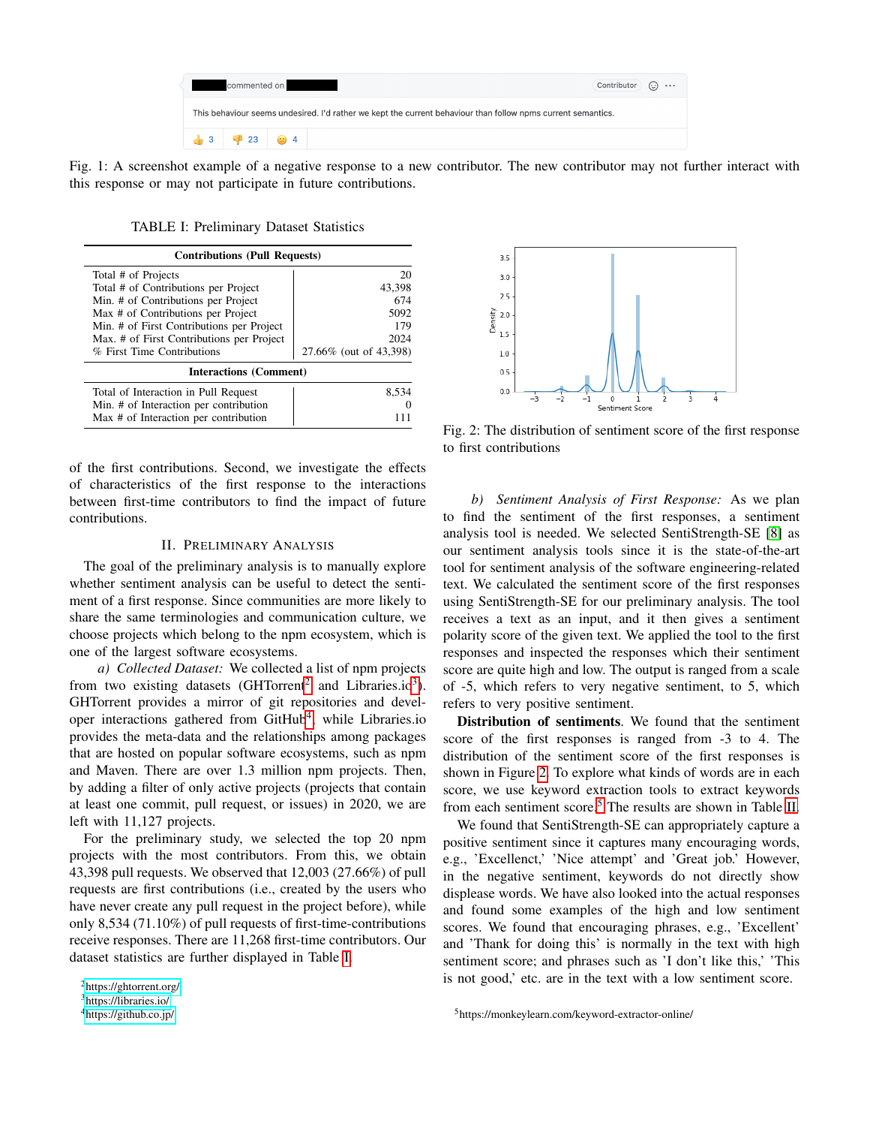| Contributor $\bigodot$<br>commented on                                                                       |                                                  |  |  |  |  |
|--------------------------------------------------------------------------------------------------------------|--------------------------------------------------|--|--|--|--|
| This behaviour seems undesired. I'd rather we kept the current behaviour than follow npms current semantics. |                                                  |  |  |  |  |
|                                                                                                              | $\frac{1}{2}$ 3 $\frac{1}{2}$ 23 $\frac{1}{2}$ 4 |  |  |  |  |

<span id="page-1-0"></span>Fig. 1: A screenshot example of a negative response to a new contributor. The new contributor may not further interact with this response or may not participate in future contributions.

TABLE I: Preliminary Dataset Statistics

<span id="page-1-4"></span>

| <b>Contributions (Pull Requests)</b>      |                        |  |  |  |
|-------------------------------------------|------------------------|--|--|--|
| Total # of Projects                       | 20                     |  |  |  |
| Total # of Contributions per Project      | 43,398                 |  |  |  |
| Min. # of Contributions per Project       | 674                    |  |  |  |
| Max # of Contributions per Project        | 5092                   |  |  |  |
| Min. # of First Contributions per Project | 179                    |  |  |  |
| Max. # of First Contributions per Project | 2024                   |  |  |  |
| % First Time Contributions                | 27.66% (out of 43,398) |  |  |  |
| <b>Interactions (Comment)</b>             |                        |  |  |  |
| Total of Interaction in Pull Request      | 8.534                  |  |  |  |
| Min. # of Interaction per contribution    |                        |  |  |  |
| Max # of Interaction per contribution     |                        |  |  |  |

of the first contributions. Second, we investigate the effects of characteristics of the first response to the interactions between first-time contributors to find the impact of future contributions.

## II. PRELIMINARY ANALYSIS

The goal of the preliminary analysis is to manually explore whether sentiment analysis can be useful to detect the sentiment of a first response. Since communities are more likely to share the same terminologies and communication culture, we choose projects which belong to the npm ecosystem, which is one of the largest software ecosystems.

*a) Collected Dataset:* We collected a list of npm projects from two existing datasets (GHTorrent<sup>[2](#page-1-1)</sup> and Libraries.io<sup>[3](#page-1-2)</sup>). GHTorrent provides a mirror of git repositories and devel-oper interactions gathered from GitHub<sup>[4](#page-1-3)</sup>, while Libraries.io provides the meta-data and the relationships among packages that are hosted on popular software ecosystems, such as npm and Maven. There are over 1.3 million npm projects. Then, by adding a filter of only active projects (projects that contain at least one commit, pull request, or issues) in 2020, we are left with 11,127 projects.

For the preliminary study, we selected the top 20 npm projects with the most contributors. From this, we obtain 43,398 pull requests. We observed that 12,003 (27.66%) of pull requests are first contributions (i.e., created by the users who have never create any pull request in the project before), while only 8,534 (71.10%) of pull requests of first-time-contributions receive responses. There are 11,268 first-time contributors. Our dataset statistics are further displayed in Table [I.](#page-1-4)

<span id="page-1-5"></span>

Fig. 2: The distribution of sentiment score of the first response to first contributions

*b) Sentiment Analysis of First Response:* As we plan to find the sentiment of the first responses, a sentiment analysis tool is needed. We selected SentiStrength-SE [\[8\]](#page-5-7) as our sentiment analysis tools since it is the state-of-the-art tool for sentiment analysis of the software engineering-related text. We calculated the sentiment score of the first responses using SentiStrength-SE for our preliminary analysis. The tool receives a text as an input, and it then gives a sentiment polarity score of the given text. We applied the tool to the first responses and inspected the responses which their sentiment score are quite high and low. The output is ranged from a scale of -5, which refers to very negative sentiment, to 5, which refers to very positive sentiment.

Distribution of sentiments. We found that the sentiment score of the first responses is ranged from -3 to 4. The distribution of the sentiment score of the first responses is shown in Figure [2.](#page-1-5) To explore what kinds of words are in each score, we use keyword extraction tools to extract keywords from each sentiment score.<sup>[5](#page-1-6)</sup> The results are shown in Table [II.](#page-2-0)

We found that SentiStrength-SE can appropriately capture a positive sentiment since it captures many encouraging words, e.g., 'Excellenct,' 'Nice attempt' and 'Great job.' However, in the negative sentiment, keywords do not directly show displease words. We have also looked into the actual responses and found some examples of the high and low sentiment scores. We found that encouraging phrases, e.g., 'Excellent' and 'Thank for doing this' is normally in the text with high sentiment score; and phrases such as 'I don't like this,' 'This is not good,' etc. are in the text with a low sentiment score.

<span id="page-1-6"></span><sup>5</sup>https://monkeylearn.com/keyword-extractor-online/

<span id="page-1-1"></span><sup>2</sup><https://ghtorrent.org/>

<span id="page-1-2"></span><sup>3</sup><https://libraries.io/>

<span id="page-1-3"></span><sup>4</sup><https://github.co.jp/>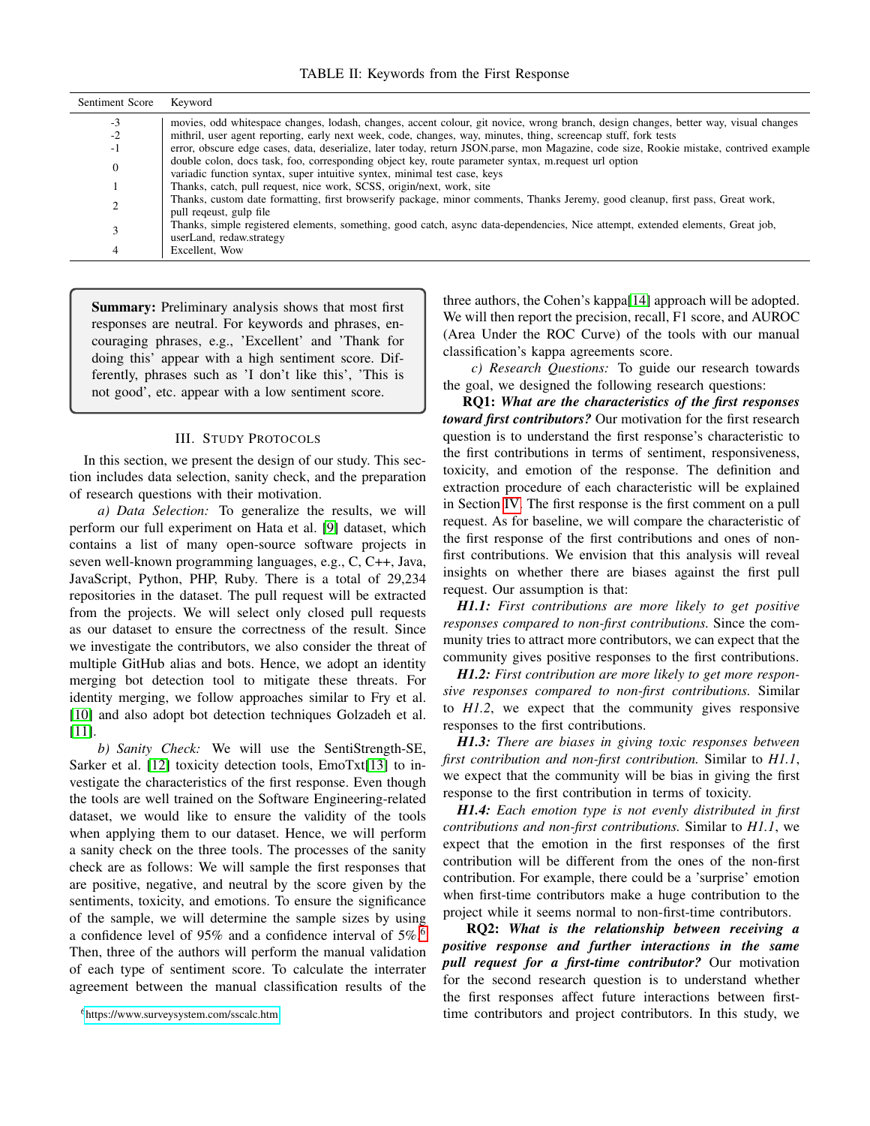TABLE II: Keywords from the First Response

<span id="page-2-0"></span>

| Sentiment Score | Keyword                                                                                                                                  |
|-----------------|------------------------------------------------------------------------------------------------------------------------------------------|
| $-3$            | movies, odd whitespace changes, lodash, changes, accent colour, git novice, wrong branch, design changes, better way, visual changes     |
| $-2$            | mithril, user agent reporting, early next week, code, changes, way, minutes, thing, screencap stuff, fork tests                          |
| - 1             | error, obscure edge cases, data, deserialize, later today, return JSON parse, mon Magazine, code size, Rookie mistake, contrived example |
| $\overline{0}$  | double colon, docs task, foo, corresponding object key, route parameter syntax, m.request url option                                     |
|                 | variadic function syntax, super intuitive syntex, minimal test case, keys                                                                |
|                 | Thanks, catch, pull request, nice work, SCSS, origin/next, work, site                                                                    |
| ◠               | Thanks, custom date formatting, first browserify package, minor comments, Thanks Jeremy, good cleanup, first pass, Great work,           |
|                 | pull regeust, gulp file                                                                                                                  |
|                 | Thanks, simple registered elements, something, good catch, async data-dependencies, Nice attempt, extended elements, Great job,          |
|                 | userLand, redaw.strategy                                                                                                                 |
|                 | Excellent, Wow                                                                                                                           |

Summary: Preliminary analysis shows that most first responses are neutral. For keywords and phrases, encouraging phrases, e.g., 'Excellent' and 'Thank for doing this' appear with a high sentiment score. Differently, phrases such as 'I don't like this', 'This is not good', etc. appear with a low sentiment score.

# III. STUDY PROTOCOLS

In this section, we present the design of our study. This section includes data selection, sanity check, and the preparation of research questions with their motivation.

*a) Data Selection:* To generalize the results, we will perform our full experiment on Hata et al. [\[9\]](#page-5-8) dataset, which contains a list of many open-source software projects in seven well-known programming languages, e.g., C, C++, Java, JavaScript, Python, PHP, Ruby. There is a total of 29,234 repositories in the dataset. The pull request will be extracted from the projects. We will select only closed pull requests as our dataset to ensure the correctness of the result. Since we investigate the contributors, we also consider the threat of multiple GitHub alias and bots. Hence, we adopt an identity merging bot detection tool to mitigate these threats. For identity merging, we follow approaches similar to Fry et al. [\[10\]](#page-5-9) and also adopt bot detection techniques Golzadeh et al. [\[11\]](#page-5-10).

*b) Sanity Check:* We will use the SentiStrength-SE, Sarker et al. [\[12\]](#page-5-11) toxicity detection tools, EmoTxt[\[13\]](#page-5-12) to investigate the characteristics of the first response. Even though the tools are well trained on the Software Engineering-related dataset, we would like to ensure the validity of the tools when applying them to our dataset. Hence, we will perform a sanity check on the three tools. The processes of the sanity check are as follows: We will sample the first responses that are positive, negative, and neutral by the score given by the sentiments, toxicity, and emotions. To ensure the significance of the sample, we will determine the sample sizes by using a confidence level of 95% and a confidence interval of  $5\%$ .<sup>[6](#page-2-1)</sup> Then, three of the authors will perform the manual validation of each type of sentiment score. To calculate the interrater agreement between the manual classification results of the three authors, the Cohen's kappa[\[14\]](#page-5-13) approach will be adopted. We will then report the precision, recall, F1 score, and AUROC (Area Under the ROC Curve) of the tools with our manual classification's kappa agreements score.

*c) Research Questions:* To guide our research towards the goal, we designed the following research questions:

RQ1: *What are the characteristics of the first responses toward first contributors?* Our motivation for the first research question is to understand the first response's characteristic to the first contributions in terms of sentiment, responsiveness, toxicity, and emotion of the response. The definition and extraction procedure of each characteristic will be explained in Section [IV.](#page-3-0) The first response is the first comment on a pull request. As for baseline, we will compare the characteristic of the first response of the first contributions and ones of nonfirst contributions. We envision that this analysis will reveal insights on whether there are biases against the first pull request. Our assumption is that:

*H1.1: First contributions are more likely to get positive responses compared to non-first contributions.* Since the community tries to attract more contributors, we can expect that the community gives positive responses to the first contributions.

*H1.2: First contribution are more likely to get more responsive responses compared to non-first contributions.* Similar to *H1.2*, we expect that the community gives responsive responses to the first contributions.

*H1.3: There are biases in giving toxic responses between first contribution and non-first contribution.* Similar to *H1.1*, we expect that the community will be bias in giving the first response to the first contribution in terms of toxicity.

*H1.4: Each emotion type is not evenly distributed in first contributions and non-first contributions.* Similar to *H1.1*, we expect that the emotion in the first responses of the first contribution will be different from the ones of the non-first contribution. For example, there could be a 'surprise' emotion when first-time contributors make a huge contribution to the project while it seems normal to non-first-time contributors.

RQ2: *What is the relationship between receiving a positive response and further interactions in the same pull request for a first-time contributor?* Our motivation for the second research question is to understand whether the first responses affect future interactions between firsttime contributors and project contributors. In this study, we

<span id="page-2-1"></span><sup>6</sup><https://www.surveysystem.com/sscalc.htm>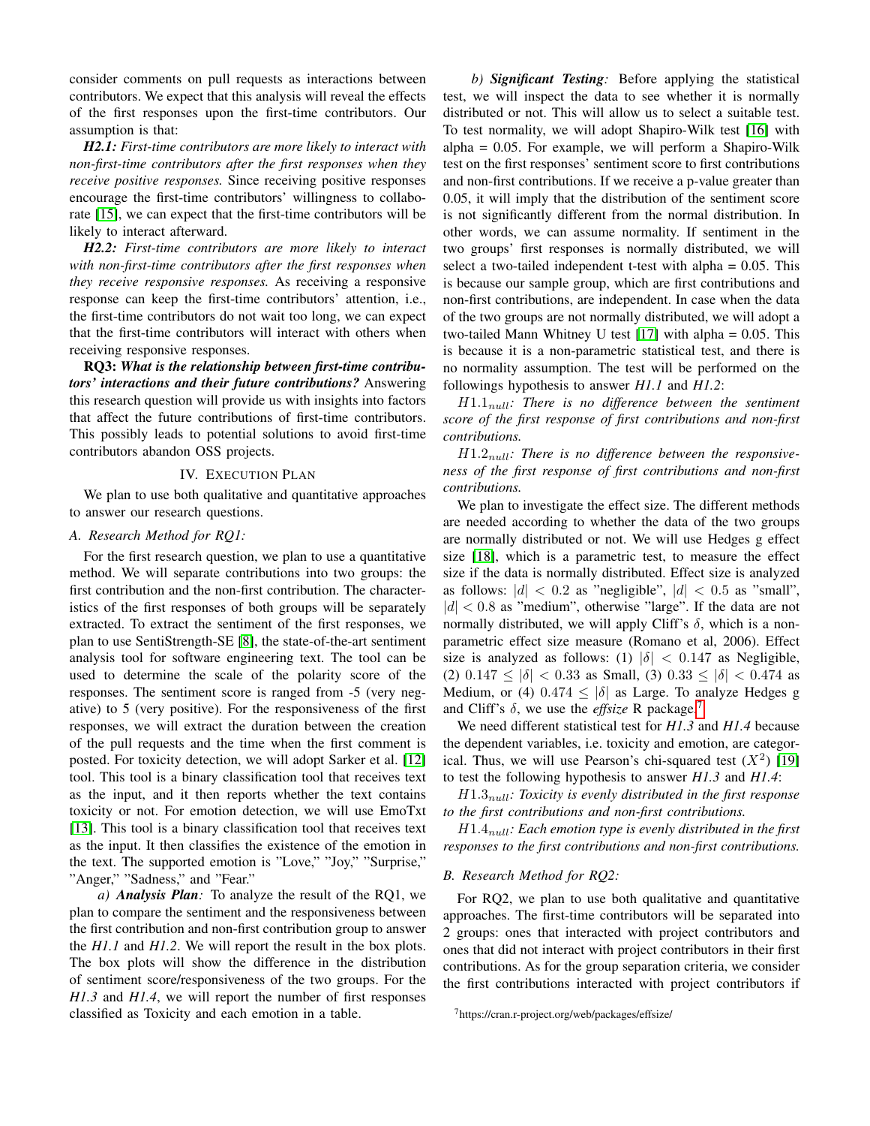consider comments on pull requests as interactions between contributors. We expect that this analysis will reveal the effects of the first responses upon the first-time contributors. Our assumption is that:

*H2.1: First-time contributors are more likely to interact with non-first-time contributors after the first responses when they receive positive responses.* Since receiving positive responses encourage the first-time contributors' willingness to collaborate [\[15\]](#page-5-14), we can expect that the first-time contributors will be likely to interact afterward.

*H2.2: First-time contributors are more likely to interact with non-first-time contributors after the first responses when they receive responsive responses.* As receiving a responsive response can keep the first-time contributors' attention, i.e., the first-time contributors do not wait too long, we can expect that the first-time contributors will interact with others when receiving responsive responses.

RQ3: *What is the relationship between first-time contributors' interactions and their future contributions?* Answering this research question will provide us with insights into factors that affect the future contributions of first-time contributors. This possibly leads to potential solutions to avoid first-time contributors abandon OSS projects.

### IV. EXECUTION PLAN

<span id="page-3-0"></span>We plan to use both qualitative and quantitative approaches to answer our research questions.

## *A. Research Method for RQ1:*

For the first research question, we plan to use a quantitative method. We will separate contributions into two groups: the first contribution and the non-first contribution. The characteristics of the first responses of both groups will be separately extracted. To extract the sentiment of the first responses, we plan to use SentiStrength-SE [\[8\]](#page-5-7), the state-of-the-art sentiment analysis tool for software engineering text. The tool can be used to determine the scale of the polarity score of the responses. The sentiment score is ranged from -5 (very negative) to 5 (very positive). For the responsiveness of the first responses, we will extract the duration between the creation of the pull requests and the time when the first comment is posted. For toxicity detection, we will adopt Sarker et al. [\[12\]](#page-5-11) tool. This tool is a binary classification tool that receives text as the input, and it then reports whether the text contains toxicity or not. For emotion detection, we will use EmoTxt [\[13\]](#page-5-12). This tool is a binary classification tool that receives text as the input. It then classifies the existence of the emotion in the text. The supported emotion is "Love," "Joy," "Surprise," "Anger," "Sadness," and "Fear."

*a) Analysis Plan:* To analyze the result of the RQ1, we plan to compare the sentiment and the responsiveness between the first contribution and non-first contribution group to answer the *H1.1* and *H1.2*. We will report the result in the box plots. The box plots will show the difference in the distribution of sentiment score/responsiveness of the two groups. For the *H1.3* and *H1.4*, we will report the number of first responses classified as Toxicity and each emotion in a table.

*b) Significant Testing:* Before applying the statistical test, we will inspect the data to see whether it is normally distributed or not. This will allow us to select a suitable test. To test normality, we will adopt Shapiro-Wilk test [\[16\]](#page-5-15) with alpha =  $0.05$ . For example, we will perform a Shapiro-Wilk test on the first responses' sentiment score to first contributions and non-first contributions. If we receive a p-value greater than 0.05, it will imply that the distribution of the sentiment score is not significantly different from the normal distribution. In other words, we can assume normality. If sentiment in the two groups' first responses is normally distributed, we will select a two-tailed independent t-test with alpha  $= 0.05$ . This is because our sample group, which are first contributions and non-first contributions, are independent. In case when the data of the two groups are not normally distributed, we will adopt a two-tailed Mann Whitney U test [\[17\]](#page-5-16) with alpha  $= 0.05$ . This is because it is a non-parametric statistical test, and there is no normality assumption. The test will be performed on the followings hypothesis to answer *H1.1* and *H1.2*:

H1.1null*: There is no difference between the sentiment score of the first response of first contributions and non-first contributions.*

H1.2null*: There is no difference between the responsiveness of the first response of first contributions and non-first contributions.*

We plan to investigate the effect size. The different methods are needed according to whether the data of the two groups are normally distributed or not. We will use Hedges g effect size [\[18\]](#page-5-17), which is a parametric test, to measure the effect size if the data is normally distributed. Effect size is analyzed as follows:  $|d| < 0.2$  as "negligible",  $|d| < 0.5$  as "small",  $|d|$  < 0.8 as "medium", otherwise "large". If the data are not normally distributed, we will apply Cliff's  $\delta$ , which is a nonparametric effect size measure (Romano et al, 2006). Effect size is analyzed as follows: (1)  $|\delta| < 0.147$  as Negligible, (2)  $0.147 \le |\delta| < 0.33$  as Small, (3)  $0.33 \le |\delta| < 0.474$  as Medium, or (4)  $0.474 \le |\delta|$  as Large. To analyze Hedges g and Cliff's  $\delta$ , we use the *effsize* R package.<sup>[7](#page-3-1)</sup>

We need different statistical test for *H1.3* and *H1.4* because the dependent variables, i.e. toxicity and emotion, are categorical. Thus, we will use Pearson's chi-squared test  $(X^2)$  [\[19\]](#page-5-18) to test the following hypothesis to answer *H1.3* and *H1.4*:

H1.3null*: Toxicity is evenly distributed in the first response to the first contributions and non-first contributions.*

H1.4null*: Each emotion type is evenly distributed in the first responses to the first contributions and non-first contributions.*

## *B. Research Method for RQ2:*

For RQ2, we plan to use both qualitative and quantitative approaches. The first-time contributors will be separated into 2 groups: ones that interacted with project contributors and ones that did not interact with project contributors in their first contributions. As for the group separation criteria, we consider the first contributions interacted with project contributors if

<span id="page-3-1"></span><sup>7</sup>https://cran.r-project.org/web/packages/effsize/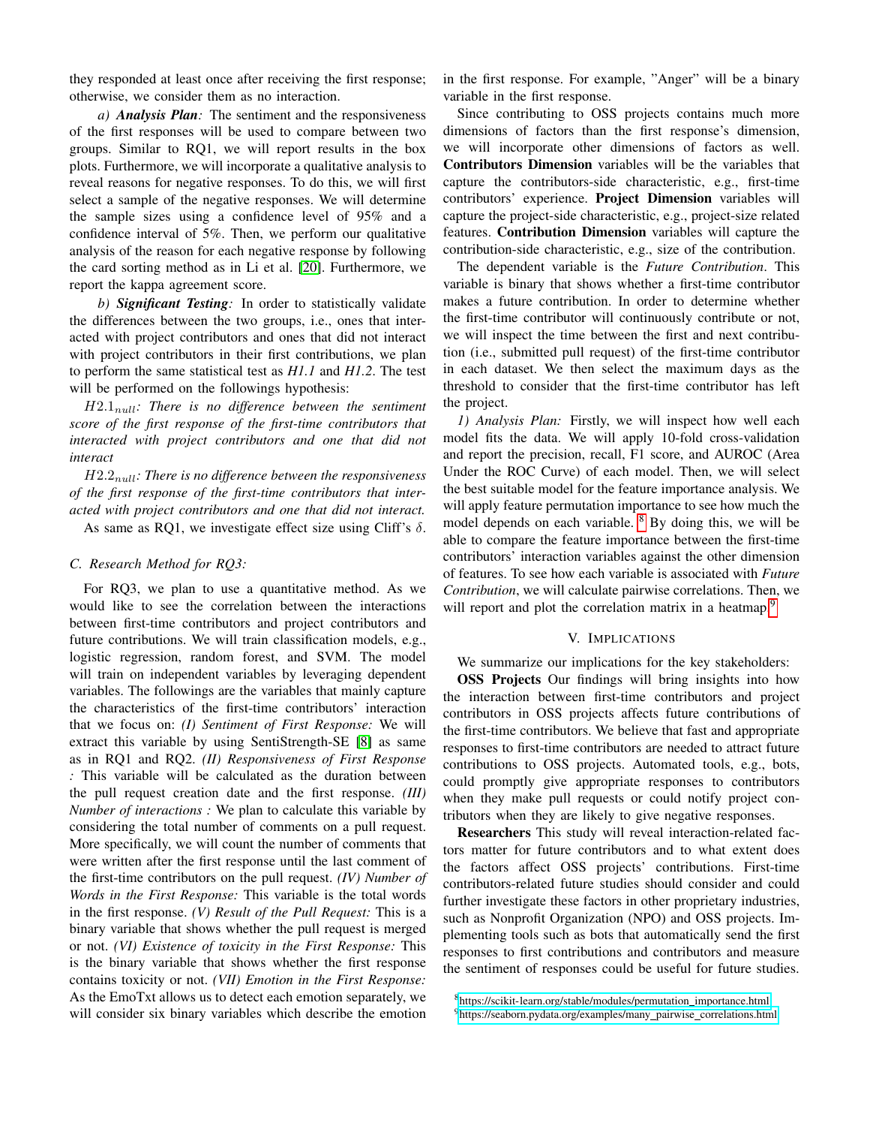they responded at least once after receiving the first response; otherwise, we consider them as no interaction.

*a) Analysis Plan:* The sentiment and the responsiveness of the first responses will be used to compare between two groups. Similar to RQ1, we will report results in the box plots. Furthermore, we will incorporate a qualitative analysis to reveal reasons for negative responses. To do this, we will first select a sample of the negative responses. We will determine the sample sizes using a confidence level of 95% and a confidence interval of 5%. Then, we perform our qualitative analysis of the reason for each negative response by following the card sorting method as in Li et al. [\[20\]](#page-5-19). Furthermore, we report the kappa agreement score.

*b) Significant Testing:* In order to statistically validate the differences between the two groups, i.e., ones that interacted with project contributors and ones that did not interact with project contributors in their first contributions, we plan to perform the same statistical test as *H1.1* and *H1.2*. The test will be performed on the followings hypothesis:

H2.1null*: There is no difference between the sentiment score of the first response of the first-time contributors that interacted with project contributors and one that did not interact*

H2.2null*: There is no difference between the responsiveness of the first response of the first-time contributors that interacted with project contributors and one that did not interact.*

As same as RQ1, we investigate effect size using Cliff's  $\delta$ .

# *C. Research Method for RQ3:*

For RQ3, we plan to use a quantitative method. As we would like to see the correlation between the interactions between first-time contributors and project contributors and future contributions. We will train classification models, e.g., logistic regression, random forest, and SVM. The model will train on independent variables by leveraging dependent variables. The followings are the variables that mainly capture the characteristics of the first-time contributors' interaction that we focus on: *(I) Sentiment of First Response:* We will extract this variable by using SentiStrength-SE [\[8\]](#page-5-7) as same as in RQ1 and RQ2. *(II) Responsiveness of First Response :* This variable will be calculated as the duration between the pull request creation date and the first response. *(III) Number of interactions :* We plan to calculate this variable by considering the total number of comments on a pull request. More specifically, we will count the number of comments that were written after the first response until the last comment of the first-time contributors on the pull request. *(IV) Number of Words in the First Response:* This variable is the total words in the first response. *(V) Result of the Pull Request:* This is a binary variable that shows whether the pull request is merged or not. *(VI) Existence of toxicity in the First Response:* This is the binary variable that shows whether the first response contains toxicity or not. *(VII) Emotion in the First Response:* As the EmoTxt allows us to detect each emotion separately, we will consider six binary variables which describe the emotion

in the first response. For example, "Anger" will be a binary variable in the first response.

Since contributing to OSS projects contains much more dimensions of factors than the first response's dimension, we will incorporate other dimensions of factors as well. Contributors Dimension variables will be the variables that capture the contributors-side characteristic, e.g., first-time contributors' experience. Project Dimension variables will capture the project-side characteristic, e.g., project-size related features. Contribution Dimension variables will capture the contribution-side characteristic, e.g., size of the contribution.

The dependent variable is the *Future Contribution*. This variable is binary that shows whether a first-time contributor makes a future contribution. In order to determine whether the first-time contributor will continuously contribute or not, we will inspect the time between the first and next contribution (i.e., submitted pull request) of the first-time contributor in each dataset. We then select the maximum days as the threshold to consider that the first-time contributor has left the project.

*1) Analysis Plan:* Firstly, we will inspect how well each model fits the data. We will apply 10-fold cross-validation and report the precision, recall, F1 score, and AUROC (Area Under the ROC Curve) of each model. Then, we will select the best suitable model for the feature importance analysis. We will apply feature permutation importance to see how much the model depends on each variable.  $8$  By doing this, we will be able to compare the feature importance between the first-time contributors' interaction variables against the other dimension of features. To see how each variable is associated with *Future Contribution*, we will calculate pairwise correlations. Then, we will report and plot the correlation matrix in a heatmap.<sup>[9](#page-4-1)</sup>

#### V. IMPLICATIONS

We summarize our implications for the key stakeholders:

OSS Projects Our findings will bring insights into how the interaction between first-time contributors and project contributors in OSS projects affects future contributions of the first-time contributors. We believe that fast and appropriate responses to first-time contributors are needed to attract future contributions to OSS projects. Automated tools, e.g., bots, could promptly give appropriate responses to contributors when they make pull requests or could notify project contributors when they are likely to give negative responses.

Researchers This study will reveal interaction-related factors matter for future contributors and to what extent does the factors affect OSS projects' contributions. First-time contributors-related future studies should consider and could further investigate these factors in other proprietary industries, such as Nonprofit Organization (NPO) and OSS projects. Implementing tools such as bots that automatically send the first responses to first contributions and contributors and measure the sentiment of responses could be useful for future studies.

<span id="page-4-1"></span><span id="page-4-0"></span><sup>8</sup>[https://scikit-learn.org/stable/modules/permutation](https://scikit-learn.org/stable/modules/permutation_importance.html)\_importance.html <sup>9</sup>[https://seaborn.pydata.org/examples/many](https://seaborn.pydata.org/examples/many_pairwise_correlations.html)\_pairwise\_correlations.html